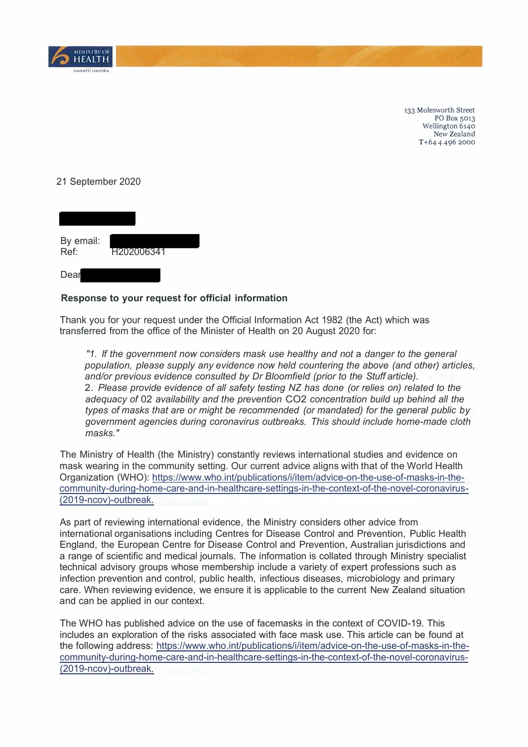

133 Molesworth Street PO Box 5013 Wellington 6140 New Zealand T+64 4 496 2000

## 21 September 2020



## **Response to your request for official information**

Thank you for your request under the Official Information Act 1982 (the Act) which was transferred from the office of the Minister of Health on 20 August 2020 for:

*"1. If the government now considers mask use healthy and not* a *danger to the general population, please supply any evidence now held countering the above (and other) articles, and/or previous evidence consulted by Dr Bloomfield (prior to the Stuff article).*  2. *Please provide evidence of all safety testing NZ has done (or relies on) related to the adequacy of* 02 *availability and the prevention* CO2 *concentration build up behind all the types of masks that are or might be recommended (or mandated) for the general public by government agencies during coronavirus outbreaks. This should include home-made cloth masks."*

The Ministry of Health (the Ministry) constantly reviews international studies and evidence on mask wearing in the community setting. Our current advice aligns with that of the World Health Organization (WHO): https://www.who.int/publications/i/item/advice-on-the-use-of-masks-in-thecommunity-during-home-care-and-in-healthcare-settings-in-the-context-of-the-novel-coronavirus- (2019-ncov)-outbreak.

As part of reviewing international evidence, the Ministry considers other advice from international organisations including Centres for Disease Control and Prevention, Public Health England, the European Centre for Disease Control and Prevention, Australian jurisdictions and a range of scientific and medical journals. The information is collated through Ministry specialist technical advisory groups whose membership include a variety of expert professions such as infection prevention and control, public health, infectious diseases, microbiology and primary care. When reviewing evidence, we ensure it is applicable to the current New Zealand situation and can be applied in our context.

The WHO has published advice on the use of facemasks in the context of COVID-19. This includes an exploration of the risks associated with face mask use. This article can be found at the following address: https://www.who.int/publications/i/item/advice-on-the-use-of-masks-in-thecommunity-during-home-care-and-in-healthcare-settings-in-the-context-of-the-novel-coronavirus- (2019-ncov)-outbreak.